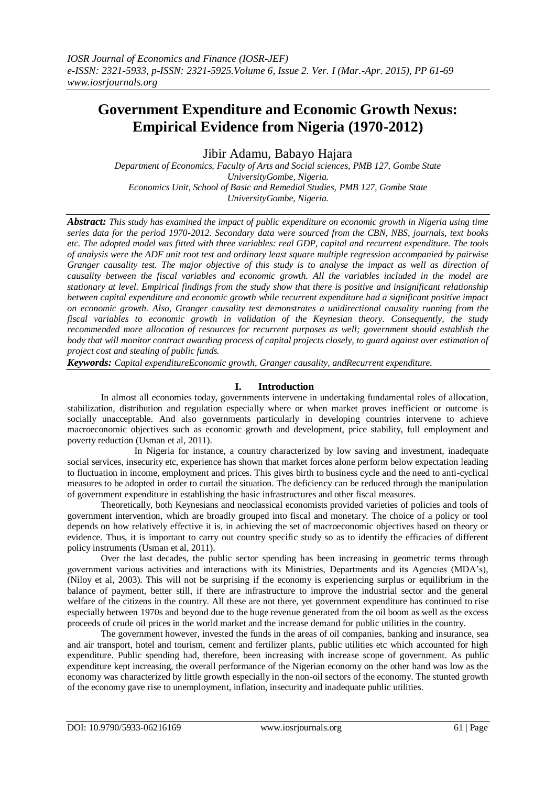# **Government Expenditure and Economic Growth Nexus: Empirical Evidence from Nigeria (1970-2012)**

Jibir Adamu, Babayo Hajara

*Department of Economics, Faculty of Arts and Social sciences, PMB 127, Gombe State UniversityGombe, Nigeria. Economics Unit, School of Basic and Remedial Studies, PMB 127, Gombe State UniversityGombe, Nigeria.*

*Abstract: This study has examined the impact of public expenditure on economic growth in Nigeria using time series data for the period 1970-2012. Secondary data were sourced from the CBN, NBS, journals, text books etc. The adopted model was fitted with three variables: real GDP, capital and recurrent expenditure. The tools of analysis were the ADF unit root test and ordinary least square multiple regression accompanied by pairwise Granger causality test. The major objective of this study is to analyse the impact as well as direction of causality between the fiscal variables and economic growth. All the variables included in the model are stationary at level. Empirical findings from the study show that there is positive and insignificant relationship between capital expenditure and economic growth while recurrent expenditure had a significant positive impact on economic growth. Also, Granger causality test demonstrates a unidirectional causality running from the fiscal variables to economic growth in validation of the Keynesian theory. Consequently, the study recommended more allocation of resources for recurrent purposes as well; government should establish the body that will monitor contract awarding process of capital projects closely, to guard against over estimation of project cost and stealing of public funds.* 

*Keywords: Capital expenditureEconomic growth, Granger causality, andRecurrent expenditure.*

### **I. Introduction**

In almost all economies today, governments intervene in undertaking fundamental roles of allocation, stabilization, distribution and regulation especially where or when market proves inefficient or outcome is socially unacceptable. And also governments particularly in developing countries intervene to achieve macroeconomic objectives such as economic growth and development, price stability, full employment and poverty reduction (Usman et al, 2011).

In Nigeria for instance, a country characterized by low saving and investment, inadequate social services, insecurity etc, experience has shown that market forces alone perform below expectation leading to fluctuation in income, employment and prices. This gives birth to business cycle and the need to anti-cyclical measures to be adopted in order to curtail the situation. The deficiency can be reduced through the manipulation of government expenditure in establishing the basic infrastructures and other fiscal measures.

Theoretically, both Keynesians and neoclassical economists provided varieties of policies and tools of government intervention, which are broadly grouped into fiscal and monetary. The choice of a policy or tool depends on how relatively effective it is, in achieving the set of macroeconomic objectives based on theory or evidence. Thus, it is important to carry out country specific study so as to identify the efficacies of different policy instruments (Usman et al, 2011).

Over the last decades, the public sector spending has been increasing in geometric terms through government various activities and interactions with its Ministries, Departments and its Agencies (MDA"s), (Niloy et al, 2003). This will not be surprising if the economy is experiencing surplus or equilibrium in the balance of payment, better still, if there are infrastructure to improve the industrial sector and the general welfare of the citizens in the country. All these are not there, yet government expenditure has continued to rise especially between 1970s and beyond due to the huge revenue generated from the oil boom as well as the excess proceeds of crude oil prices in the world market and the increase demand for public utilities in the country.

The government however, invested the funds in the areas of oil companies, banking and insurance, sea and air transport, hotel and tourism, cement and fertilizer plants, public utilities etc which accounted for high expenditure. Public spending had, therefore, been increasing with increase scope of government. As public expenditure kept increasing, the overall performance of the Nigerian economy on the other hand was low as the economy was characterized by little growth especially in the non-oil sectors of the economy. The stunted growth of the economy gave rise to unemployment, inflation, insecurity and inadequate public utilities.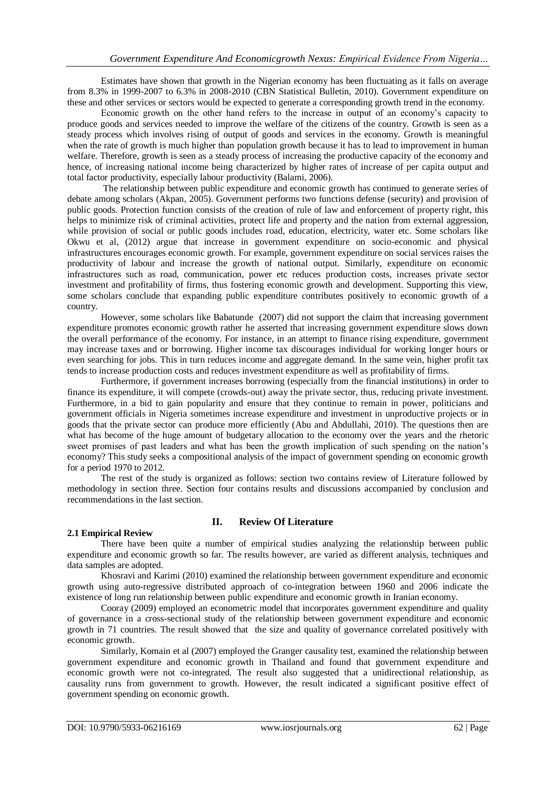Estimates have shown that growth in the Nigerian economy has been fluctuating as it falls on average from 8.3% in 1999-2007 to 6.3% in 2008-2010 (CBN Statistical Bulletin, 2010). Government expenditure on these and other services or sectors would be expected to generate a corresponding growth trend in the economy.

Economic growth on the other hand refers to the increase in output of an economy"s capacity to produce goods and services needed to improve the welfare of the citizens of the country. Growth is seen as a steady process which involves rising of output of goods and services in the economy. Growth is meaningful when the rate of growth is much higher than population growth because it has to lead to improvement in human welfare. Therefore, growth is seen as a steady process of increasing the productive capacity of the economy and hence, of increasing national income being characterized by higher rates of increase of per capita output and total factor productivity, especially labour productivity (Balami, 2006).

The relationship between public expenditure and economic growth has continued to generate series of debate among scholars (Akpan, 2005). Government performs two functions defense (security) and provision of public goods. Protection function consists of the creation of rule of law and enforcement of property right, this helps to minimize risk of criminal activities, protect life and property and the nation from external aggression, while provision of social or public goods includes road, education, electricity, water etc. Some scholars like Okwu et al, (2012) argue that increase in government expenditure on socio-economic and physical infrastructures encourages economic growth. For example, government expenditure on social services raises the productivity of labour and increase the growth of national output. Similarly, expenditure on economic infrastructures such as road, communication, power etc reduces production costs, increases private sector investment and profitability of firms, thus fostering economic growth and development. Supporting this view, some scholars conclude that expanding public expenditure contributes positively to economic growth of a country.

However, some scholars like Babatunde (2007) did not support the claim that increasing government expenditure promotes economic growth rather he asserted that increasing government expenditure slows down the overall performance of the economy. For instance, in an attempt to finance rising expenditure, government may increase taxes and or borrowing. Higher income tax discourages individual for working longer hours or even searching for jobs. This in turn reduces income and aggregate demand. In the same vein, higher profit tax tends to increase production costs and reduces investment expenditure as well as profitability of firms.

Furthermore, if government increases borrowing (especially from the financial institutions) in order to finance its expenditure, it will compete (crowds-out) away the private sector, thus, reducing private investment. Furthermore, in a bid to gain popularity and ensure that they continue to remain in power, politicians and government officials in Nigeria sometimes increase expenditure and investment in unproductive projects or in goods that the private sector can produce more efficiently (Abu and Abdullahi, 2010). The questions then are what has become of the huge amount of budgetary allocation to the economy over the years and the rhetoric sweet promises of past leaders and what has been the growth implication of such spending on the nation's economy? This study seeks a compositional analysis of the impact of government spending on economic growth for a period 1970 to 2012.

The rest of the study is organized as follows: section two contains review of Literature followed by methodology in section three. Section four contains results and discussions accompanied by conclusion and recommendations in the last section.

#### **2.1 Empirical Review**

## **II. Review Of Literature**

There have been quite a number of empirical studies analyzing the relationship between public expenditure and economic growth so far. The results however, are varied as different analysis, techniques and data samples are adopted.

Khosravi and Karimi (2010) examined the relationship between government expenditure and economic growth using auto-regressive distributed approach of co-integration between 1960 and 2006 indicate the existence of long run relationship between public expenditure and economic growth in Iranian economy.

Cooray (2009) employed an econometric model that incorporates government expenditure and quality of governance in a cross-sectional study of the relationship between government expenditure and economic growth in 71 countries. The result showed that the size and quality of governance correlated positively with economic growth.

Similarly, Komain et al (2007) employed the Granger causality test, examined the relationship between government expenditure and economic growth in Thailand and found that government expenditure and economic growth were not co-integrated. The result also suggested that a unidirectional relationship, as causality runs from government to growth. However, the result indicated a significant positive effect of government spending on economic growth.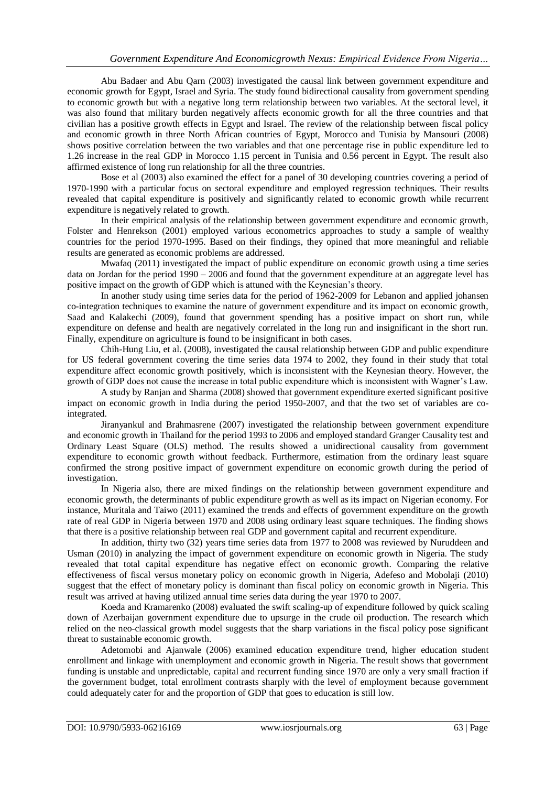Abu Badaer and Abu Qarn (2003) investigated the causal link between government expenditure and economic growth for Egypt, Israel and Syria. The study found bidirectional causality from government spending to economic growth but with a negative long term relationship between two variables. At the sectoral level, it was also found that military burden negatively affects economic growth for all the three countries and that civilian has a positive growth effects in Egypt and Israel. The review of the relationship between fiscal policy and economic growth in three North African countries of Egypt, Morocco and Tunisia by Mansouri (2008) shows positive correlation between the two variables and that one percentage rise in public expenditure led to 1.26 increase in the real GDP in Morocco 1.15 percent in Tunisia and 0.56 percent in Egypt. The result also affirmed existence of long run relationship for all the three countries.

Bose et al (2003) also examined the effect for a panel of 30 developing countries covering a period of 1970-1990 with a particular focus on sectoral expenditure and employed regression techniques. Their results revealed that capital expenditure is positively and significantly related to economic growth while recurrent expenditure is negatively related to growth.

In their empirical analysis of the relationship between government expenditure and economic growth, Folster and Henrekson (2001) employed various econometrics approaches to study a sample of wealthy countries for the period 1970-1995. Based on their findings, they opined that more meaningful and reliable results are generated as economic problems are addressed.

Mwafaq (2011) investigated the impact of public expenditure on economic growth using a time series data on Jordan for the period 1990 – 2006 and found that the government expenditure at an aggregate level has positive impact on the growth of GDP which is attuned with the Keynesian"s theory.

In another study using time series data for the period of 1962-2009 for Lebanon and applied johansen co-integration techniques to examine the nature of government expenditure and its impact on economic growth, Saad and Kalakechi (2009), found that government spending has a positive impact on short run, while expenditure on defense and health are negatively correlated in the long run and insignificant in the short run. Finally, expenditure on agriculture is found to be insignificant in both cases.

Chih-Hung Liu, et al. (2008), investigated the causal relationship between GDP and public expenditure for US federal government covering the time series data 1974 to 2002, they found in their study that total expenditure affect economic growth positively, which is inconsistent with the Keynesian theory. However, the growth of GDP does not cause the increase in total public expenditure which is inconsistent with Wagner"s Law.

A study by Ranjan and Sharma (2008) showed that government expenditure exerted significant positive impact on economic growth in India during the period 1950-2007, and that the two set of variables are cointegrated.

Jiranyankul and Brahmasrene (2007) investigated the relationship between government expenditure and economic growth in Thailand for the period 1993 to 2006 and employed standard Granger Causality test and Ordinary Least Square (OLS) method. The results showed a unidirectional causality from government expenditure to economic growth without feedback. Furthermore, estimation from the ordinary least square confirmed the strong positive impact of government expenditure on economic growth during the period of investigation.

In Nigeria also, there are mixed findings on the relationship between government expenditure and economic growth, the determinants of public expenditure growth as well as its impact on Nigerian economy. For instance, Muritala and Taiwo (2011) examined the trends and effects of government expenditure on the growth rate of real GDP in Nigeria between 1970 and 2008 using ordinary least square techniques. The finding shows that there is a positive relationship between real GDP and government capital and recurrent expenditure.

In addition, thirty two (32) years time series data from 1977 to 2008 was reviewed by Nuruddeen and Usman (2010) in analyzing the impact of government expenditure on economic growth in Nigeria. The study revealed that total capital expenditure has negative effect on economic growth. Comparing the relative effectiveness of fiscal versus monetary policy on economic growth in Nigeria, Adefeso and Mobolaji (2010) suggest that the effect of monetary policy is dominant than fiscal policy on economic growth in Nigeria. This result was arrived at having utilized annual time series data during the year 1970 to 2007.

Koeda and Kramarenko (2008) evaluated the swift scaling-up of expenditure followed by quick scaling down of Azerbaijan government expenditure due to upsurge in the crude oil production. The research which relied on the neo-classical growth model suggests that the sharp variations in the fiscal policy pose significant threat to sustainable economic growth.

Adetomobi and Ajanwale (2006) examined education expenditure trend, higher education student enrollment and linkage with unemployment and economic growth in Nigeria. The result shows that government funding is unstable and unpredictable, capital and recurrent funding since 1970 are only a very small fraction if the government budget, total enrollment contrasts sharply with the level of employment because government could adequately cater for and the proportion of GDP that goes to education is still low.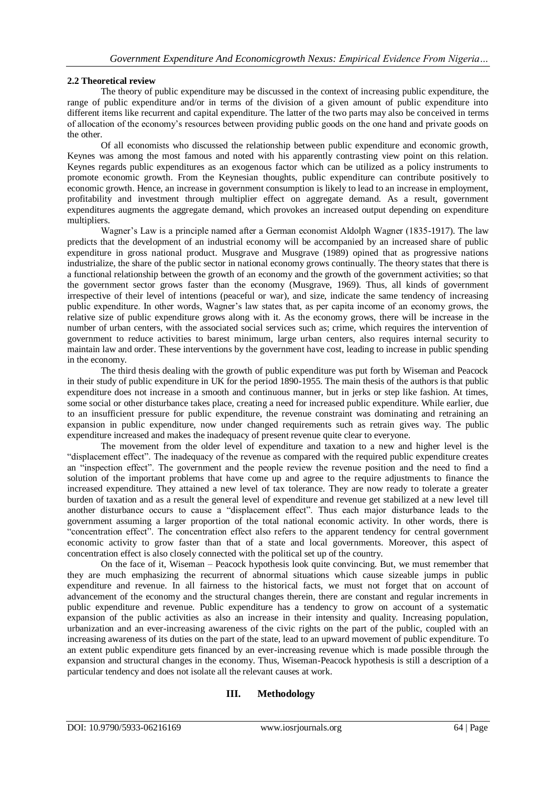#### **2.2 Theoretical review**

The theory of public expenditure may be discussed in the context of increasing public expenditure, the range of public expenditure and/or in terms of the division of a given amount of public expenditure into different items like recurrent and capital expenditure. The latter of the two parts may also be conceived in terms of allocation of the economy"s resources between providing public goods on the one hand and private goods on the other.

Of all economists who discussed the relationship between public expenditure and economic growth, Keynes was among the most famous and noted with his apparently contrasting view point on this relation. Keynes regards public expenditures as an exogenous factor which can be utilized as a policy instruments to promote economic growth. From the Keynesian thoughts, public expenditure can contribute positively to economic growth. Hence, an increase in government consumption is likely to lead to an increase in employment, profitability and investment through multiplier effect on aggregate demand. As a result, government expenditures augments the aggregate demand, which provokes an increased output depending on expenditure multipliers.

Wagner"s Law is a principle named after a German economist Aldolph Wagner (1835-1917). The law predicts that the development of an industrial economy will be accompanied by an increased share of public expenditure in gross national product. Musgrave and Musgrave (1989) opined that as progressive nations industrialize, the share of the public sector in national economy grows continually. The theory states that there is a functional relationship between the growth of an economy and the growth of the government activities; so that the government sector grows faster than the economy (Musgrave, 1969). Thus, all kinds of government irrespective of their level of intentions (peaceful or war), and size, indicate the same tendency of increasing public expenditure. In other words, Wagner"s law states that, as per capita income of an economy grows, the relative size of public expenditure grows along with it. As the economy grows, there will be increase in the number of urban centers, with the associated social services such as; crime, which requires the intervention of government to reduce activities to barest minimum, large urban centers, also requires internal security to maintain law and order. These interventions by the government have cost, leading to increase in public spending in the economy.

The third thesis dealing with the growth of public expenditure was put forth by Wiseman and Peacock in their study of public expenditure in UK for the period 1890-1955. The main thesis of the authors is that public expenditure does not increase in a smooth and continuous manner, but in jerks or step like fashion. At times, some social or other disturbance takes place, creating a need for increased public expenditure. While earlier, due to an insufficient pressure for public expenditure, the revenue constraint was dominating and retraining an expansion in public expenditure, now under changed requirements such as retrain gives way. The public expenditure increased and makes the inadequacy of present revenue quite clear to everyone.

The movement from the older level of expenditure and taxation to a new and higher level is the "displacement effect". The inadequacy of the revenue as compared with the required public expenditure creates an "inspection effect". The government and the people review the revenue position and the need to find a solution of the important problems that have come up and agree to the require adjustments to finance the increased expenditure. They attained a new level of tax tolerance. They are now ready to tolerate a greater burden of taxation and as a result the general level of expenditure and revenue get stabilized at a new level till another disturbance occurs to cause a "displacement effect". Thus each major disturbance leads to the government assuming a larger proportion of the total national economic activity. In other words, there is "concentration effect". The concentration effect also refers to the apparent tendency for central government economic activity to grow faster than that of a state and local governments. Moreover, this aspect of concentration effect is also closely connected with the political set up of the country.

On the face of it, Wiseman – Peacock hypothesis look quite convincing. But, we must remember that they are much emphasizing the recurrent of abnormal situations which cause sizeable jumps in public expenditure and revenue. In all fairness to the historical facts, we must not forget that on account of advancement of the economy and the structural changes therein, there are constant and regular increments in public expenditure and revenue. Public expenditure has a tendency to grow on account of a systematic expansion of the public activities as also an increase in their intensity and quality. Increasing population, urbanization and an ever-increasing awareness of the civic rights on the part of the public, coupled with an increasing awareness of its duties on the part of the state, lead to an upward movement of public expenditure. To an extent public expenditure gets financed by an ever-increasing revenue which is made possible through the expansion and structural changes in the economy. Thus, Wiseman-Peacock hypothesis is still a description of a particular tendency and does not isolate all the relevant causes at work.

#### **III. Methodology**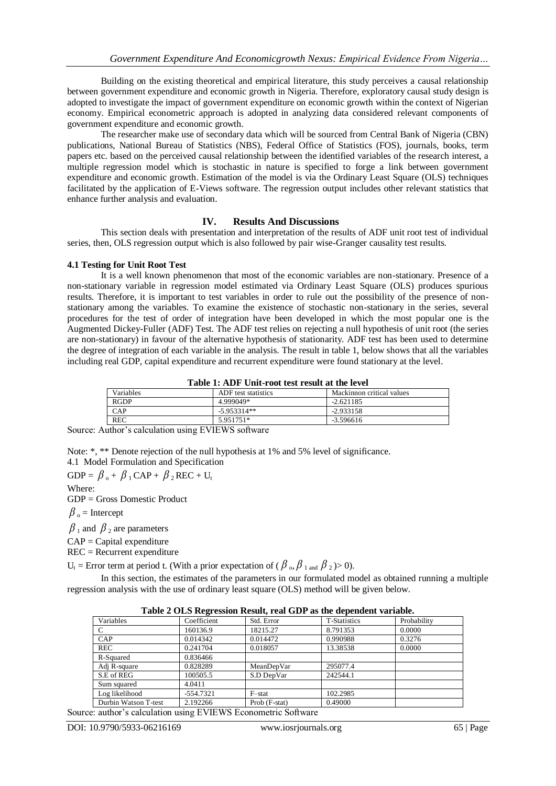Building on the existing theoretical and empirical literature, this study perceives a causal relationship between government expenditure and economic growth in Nigeria. Therefore, exploratory causal study design is adopted to investigate the impact of government expenditure on economic growth within the context of Nigerian economy. Empirical econometric approach is adopted in analyzing data considered relevant components of government expenditure and economic growth.

The researcher make use of secondary data which will be sourced from Central Bank of Nigeria (CBN) publications, National Bureau of Statistics (NBS), Federal Office of Statistics (FOS), journals, books, term papers etc. based on the perceived causal relationship between the identified variables of the research interest, a multiple regression model which is stochastic in nature is specified to forge a link between government expenditure and economic growth. Estimation of the model is via the Ordinary Least Square (OLS) techniques facilitated by the application of E-Views software. The regression output includes other relevant statistics that enhance further analysis and evaluation.

#### **IV. Results And Discussions**

This section deals with presentation and interpretation of the results of ADF unit root test of individual series, then, OLS regression output which is also followed by pair wise-Granger causality test results.

#### **4.1 Testing for Unit Root Test**

It is a well known phenomenon that most of the economic variables are non-stationary. Presence of a non-stationary variable in regression model estimated via Ordinary Least Square (OLS) produces spurious results. Therefore, it is important to test variables in order to rule out the possibility of the presence of nonstationary among the variables. To examine the existence of stochastic non-stationary in the series, several procedures for the test of order of integration have been developed in which the most popular one is the Augmented Dickey-Fuller (ADF) Test. The ADF test relies on rejecting a null hypothesis of unit root (the series are non-stationary) in favour of the alternative hypothesis of stationarity. ADF test has been used to determine the degree of integration of each variable in the analysis. The result in table 1, below shows that all the variables including real GDP, capital expenditure and recurrent expenditure were found stationary at the level.

|  | Table 1: ADF Unit-root test result at the level |  |  |
|--|-------------------------------------------------|--|--|
|--|-------------------------------------------------|--|--|

| Variables                                       | ADF test statistics | Mackinnon critical values |  |  |  |  |
|-------------------------------------------------|---------------------|---------------------------|--|--|--|--|
| <b>RGDP</b>                                     | 4.999049*           | $-2.621185$               |  |  |  |  |
| CAP                                             | $-5.953314**$       | $-2.933158$               |  |  |  |  |
| <b>REC</b>                                      | 5.951751*           | $-3.596616$               |  |  |  |  |
| $\sim$<br>$\sim$<br>----------<br>$\sim$ $\sim$ |                     |                           |  |  |  |  |

Source: Author's calculation using EVIEWS software

Note: \*, \*\* Denote rejection of the null hypothesis at 1% and 5% level of significance.

4.1 Model Formulation and Specification

 $\text{GDP} = \beta_{\rm o} + \beta_{\rm 1}\text{CAP} + \beta_{\rm 2}\text{REC} + \text{U}_\text{t}$ 

Where:

GDP = Gross Domestic Product

 $\beta_o$  = Intercept

 $\beta_1$  and  $\beta_2$  are parameters

 $CAP = Capital$  expenditure

REC = Recurrent expenditure

 $U_t$  = Error term at period t. (With a prior expectation of ( $\beta_o$ ,  $\beta_{1 \text{ and }} \beta_2$ )>0).

In this section, the estimates of the parameters in our formulated model as obtained running a multiple regression analysis with the use of ordinary least square (OLS) method will be given below.

| Table 2 OLD Regi ession Result, I cal ODT as the dependent variable. |             |               |                     |             |  |  |  |
|----------------------------------------------------------------------|-------------|---------------|---------------------|-------------|--|--|--|
| Variables                                                            | Coefficient | Std. Error    | <b>T-Statistics</b> | Probability |  |  |  |
|                                                                      | 160136.9    | 18215.27      | 8.791353            | 0.0000      |  |  |  |
| CAP                                                                  | 0.014342    | 0.014472      | 0.990988            | 0.3276      |  |  |  |
| <b>REC</b>                                                           | 0.241704    | 0.018057      | 13.38538            | 0.0000      |  |  |  |
| R-Squared                                                            | 0.836466    |               |                     |             |  |  |  |
| Adj R-square                                                         | 0.828289    | MeanDepVar    | 295077.4            |             |  |  |  |
| S.E of REG                                                           | 100505.5    | S.D DepVar    | 242544.1            |             |  |  |  |
| Sum squared                                                          | 4.0411      |               |                     |             |  |  |  |
| Log likelihood                                                       | $-554.7321$ | F-stat        | 102.2985            |             |  |  |  |
| Durbin Watson T-test                                                 | 2.192266    | Prob (F-stat) | 0.49000             |             |  |  |  |
|                                                                      |             |               |                     |             |  |  |  |

**Table 2 OLS Regression Result, real GDP as the dependent variable.**

Source: author's calculation using EVIEWS Econometric Software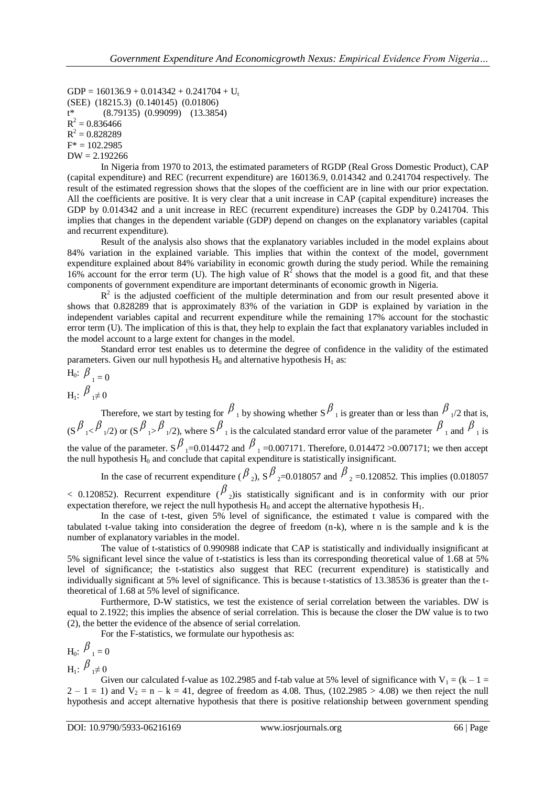$GDP = 160136.9 + 0.014342 + 0.241704 + U_t$ (SEE) (18215.3) (0.140145) (0.01806) t\* (8.79135) (0.99099) (13.3854)  $R^2 = 0.836466$  $R^2 = 0.828289$  $F^* = 102.2985$  $DW = 2.192266$ 

In Nigeria from 1970 to 2013, the estimated parameters of RGDP (Real Gross Domestic Product), CAP (capital expenditure) and REC (recurrent expenditure) are 160136.9, 0.014342 and 0.241704 respectively. The result of the estimated regression shows that the slopes of the coefficient are in line with our prior expectation. All the coefficients are positive. It is very clear that a unit increase in CAP (capital expenditure) increases the GDP by 0.014342 and a unit increase in REC (recurrent expenditure) increases the GDP by 0.241704. This implies that changes in the dependent variable (GDP) depend on changes on the explanatory variables (capital and recurrent expenditure).

Result of the analysis also shows that the explanatory variables included in the model explains about 84% variation in the explained variable. This implies that within the context of the model, government expenditure explained about 84% variability in economic growth during the study period. While the remaining 16% account for the error term (U). The high value of  $R^2$  shows that the model is a good fit, and that these components of government expenditure are important determinants of economic growth in Nigeria.

 $R<sup>2</sup>$  is the adjusted coefficient of the multiple determination and from our result presented above it shows that 0.828289 that is approximately 83% of the variation in GDP is explained by variation in the independent variables capital and recurrent expenditure while the remaining 17% account for the stochastic error term (U). The implication of this is that, they help to explain the fact that explanatory variables included in the model account to a large extent for changes in the model.

Standard error test enables us to determine the degree of confidence in the validity of the estimated parameters. Given our null hypothesis  $H_0$  and alternative hypothesis  $H_1$  as:

$$
H_0: \beta_{1} = 0
$$
  

$$
H_1: \beta_{1} \neq 0
$$

Therefore, we start by testing for  $\beta_1$  by showing whether S $\beta_1$  is greater than or less than  $\beta_1/2$  that is,  $(S \frac{\beta_1}{\beta_1/2})$  or  $(S \frac{\beta_1}{\beta_1/2})$ , where  $S \frac{\beta_1}{\beta_1}$  is the calculated standard error value of the parameter  $\frac{\beta_1}{\beta_1}$  and  $\frac{\beta_1}{\beta_1}$  is the value of the parameter. S  $\beta$ <sub>1</sub>=0.014472 and  $\beta$ <sub>1</sub>=0.007171. Therefore, 0.014472 >0.007171; we then accept the null hypothesis  $H_0$  and conclude that capital expenditure is statistically insignificant.

In the case of recurrent expenditure ( $\beta_2$ ),  $S \beta_{2} = 0.018057$  and  $\beta_{2} = 0.120852$ . This implies (0.018057)  $<$  0.120852). Recurrent expenditure  $(\frac{\beta}{2})$ is statistically significant and is in conformity with our prior expectation therefore, we reject the null hypothesis  $H_0$  and accept the alternative hypothesis  $H_1$ .

In the case of t-test, given 5% level of significance, the estimated t value is compared with the tabulated t-value taking into consideration the degree of freedom (n-k), where n is the sample and k is the number of explanatory variables in the model.

The value of t-statistics of 0.990988 indicate that CAP is statistically and individually insignificant at 5% significant level since the value of t-statistics is less than its corresponding theoretical value of 1.68 at 5% level of significance; the t-statistics also suggest that REC (recurrent expenditure) is statistically and individually significant at 5% level of significance. This is because t-statistics of 13.38536 is greater than the ttheoretical of 1.68 at 5% level of significance.

Furthermore, D-W statistics, we test the existence of serial correlation between the variables. DW is equal to 2.1922; this implies the absence of serial correlation. This is because the closer the DW value is to two (2), the better the evidence of the absence of serial correlation.

For the F-statistics, we formulate our hypothesis as:

$$
H_0: \frac{\beta}{\beta} \neq 0
$$
  
H<sub>1</sub>:  $\beta \neq 0$ 

Given our calculated f-value as 102.2985 and f-tab value at 5% level of significance with  $V_1 = (k - 1 =$  $2 - 1 = 1$ ) and  $V_2 = n - k = 41$ , degree of freedom as 4.08. Thus, (102.2985 > 4.08) we then reject the null hypothesis and accept alternative hypothesis that there is positive relationship between government spending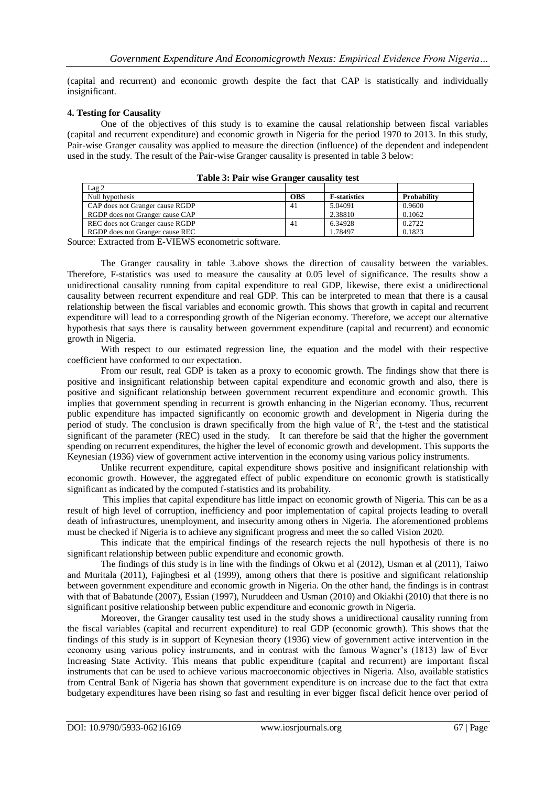(capital and recurrent) and economic growth despite the fact that CAP is statistically and individually insignificant.

#### **4. Testing for Causality**

One of the objectives of this study is to examine the causal relationship between fiscal variables (capital and recurrent expenditure) and economic growth in Nigeria for the period 1970 to 2013. In this study, Pair-wise Granger causality was applied to measure the direction (influence) of the dependent and independent used in the study. The result of the Pair-wise Granger causality is presented in table 3 below:

| $\text{Lag} 2$                  |            |                      |                    |
|---------------------------------|------------|----------------------|--------------------|
| Null hypothesis                 | <b>OBS</b> | <b>F</b> -statistics | <b>Probability</b> |
| CAP does not Granger cause RGDP | 41         | 5.04091              | 0.9600             |
| RGDP does not Granger cause CAP |            | 2.38810              | 0.1062             |
| REC does not Granger cause RGDP | 41         | 6.34928              | 0.2722             |
| RGDP does not Granger cause REC |            | 1.78497              | 0.1823             |

**Table 3: Pair wise Granger causality test**

Source: Extracted from E-VIEWS econometric software.

The Granger causality in table 3.above shows the direction of causality between the variables. Therefore, F-statistics was used to measure the causality at 0.05 level of significance. The results show a unidirectional causality running from capital expenditure to real GDP, likewise, there exist a unidirectional causality between recurrent expenditure and real GDP. This can be interpreted to mean that there is a causal relationship between the fiscal variables and economic growth. This shows that growth in capital and recurrent expenditure will lead to a corresponding growth of the Nigerian economy. Therefore, we accept our alternative hypothesis that says there is causality between government expenditure (capital and recurrent) and economic growth in Nigeria.

With respect to our estimated regression line, the equation and the model with their respective coefficient have conformed to our expectation.

From our result, real GDP is taken as a proxy to economic growth. The findings show that there is positive and insignificant relationship between capital expenditure and economic growth and also, there is positive and significant relationship between government recurrent expenditure and economic growth. This implies that government spending in recurrent is growth enhancing in the Nigerian economy. Thus, recurrent public expenditure has impacted significantly on economic growth and development in Nigeria during the period of study. The conclusion is drawn specifically from the high value of  $\mathbb{R}^2$ , the t-test and the statistical significant of the parameter (REC) used in the study. It can therefore be said that the higher the government spending on recurrent expenditures, the higher the level of economic growth and development. This supports the Keynesian (1936) view of government active intervention in the economy using various policy instruments.

Unlike recurrent expenditure, capital expenditure shows positive and insignificant relationship with economic growth. However, the aggregated effect of public expenditure on economic growth is statistically significant as indicated by the computed f-statistics and its probability.

This implies that capital expenditure has little impact on economic growth of Nigeria. This can be as a result of high level of corruption, inefficiency and poor implementation of capital projects leading to overall death of infrastructures, unemployment, and insecurity among others in Nigeria. The aforementioned problems must be checked if Nigeria is to achieve any significant progress and meet the so called Vision 2020.

This indicate that the empirical findings of the research rejects the null hypothesis of there is no significant relationship between public expenditure and economic growth.

The findings of this study is in line with the findings of Okwu et al (2012), Usman et al (2011), Taiwo and Muritala (2011), Fajingbesi et al (1999), among others that there is positive and significant relationship between government expenditure and economic growth in Nigeria. On the other hand, the findings is in contrast with that of Babatunde (2007), Essian (1997), Nuruddeen and Usman (2010) and Okiakhi (2010) that there is no significant positive relationship between public expenditure and economic growth in Nigeria.

Moreover, the Granger causality test used in the study shows a unidirectional causality running from the fiscal variables (capital and recurrent expenditure) to real GDP (economic growth). This shows that the findings of this study is in support of Keynesian theory (1936) view of government active intervention in the economy using various policy instruments, and in contrast with the famous Wagner"s (1813) law of Ever Increasing State Activity. This means that public expenditure (capital and recurrent) are important fiscal instruments that can be used to achieve various macroeconomic objectives in Nigeria. Also, available statistics from Central Bank of Nigeria has shown that government expenditure is on increase due to the fact that extra budgetary expenditures have been rising so fast and resulting in ever bigger fiscal deficit hence over period of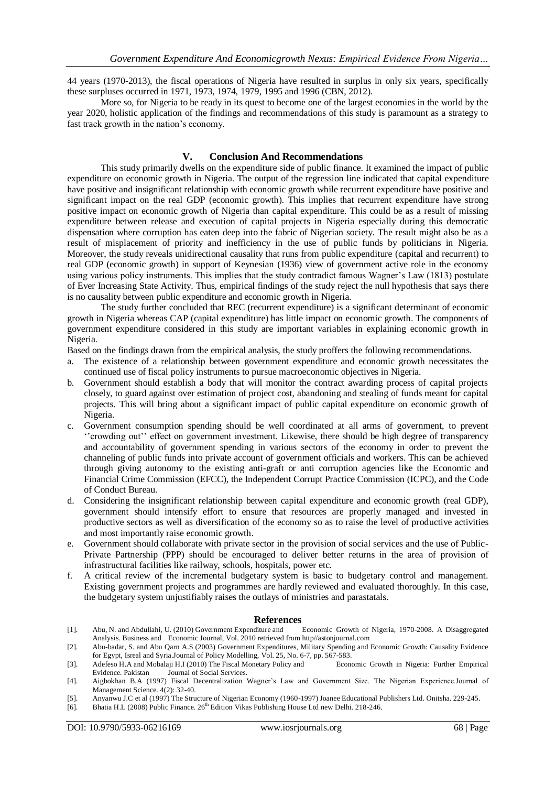44 years (1970-2013), the fiscal operations of Nigeria have resulted in surplus in only six years, specifically these surpluses occurred in 1971, 1973, 1974, 1979, 1995 and 1996 (CBN, 2012).

More so, for Nigeria to be ready in its quest to become one of the largest economies in the world by the year 2020, holistic application of the findings and recommendations of this study is paramount as a strategy to fast track growth in the nation's economy.

#### **V. Conclusion And Recommendations**

This study primarily dwells on the expenditure side of public finance. It examined the impact of public expenditure on economic growth in Nigeria. The output of the regression line indicated that capital expenditure have positive and insignificant relationship with economic growth while recurrent expenditure have positive and significant impact on the real GDP (economic growth). This implies that recurrent expenditure have strong positive impact on economic growth of Nigeria than capital expenditure. This could be as a result of missing expenditure between release and execution of capital projects in Nigeria especially during this democratic dispensation where corruption has eaten deep into the fabric of Nigerian society. The result might also be as a result of misplacement of priority and inefficiency in the use of public funds by politicians in Nigeria. Moreover, the study reveals unidirectional causality that runs from public expenditure (capital and recurrent) to real GDP (economic growth) in support of Keynesian (1936) view of government active role in the economy using various policy instruments. This implies that the study contradict famous Wagner"s Law (1813) postulate of Ever Increasing State Activity. Thus, empirical findings of the study reject the null hypothesis that says there is no causality between public expenditure and economic growth in Nigeria.

The study further concluded that REC (recurrent expenditure) is a significant determinant of economic growth in Nigeria whereas CAP (capital expenditure) has little impact on economic growth. The components of government expenditure considered in this study are important variables in explaining economic growth in Nigeria.

Based on the findings drawn from the empirical analysis, the study proffers the following recommendations.

- a. The existence of a relationship between government expenditure and economic growth necessitates the continued use of fiscal policy instruments to pursue macroeconomic objectives in Nigeria.
- b. Government should establish a body that will monitor the contract awarding process of capital projects closely, to guard against over estimation of project cost, abandoning and stealing of funds meant for capital projects. This will bring about a significant impact of public capital expenditure on economic growth of Nigeria.
- c. Government consumption spending should be well coordinated at all arms of government, to prevent ""crowding out"" effect on government investment. Likewise, there should be high degree of transparency and accountability of government spending in various sectors of the economy in order to prevent the channeling of public funds into private account of government officials and workers. This can be achieved through giving autonomy to the existing anti-graft or anti corruption agencies like the Economic and Financial Crime Commission (EFCC), the Independent Corrupt Practice Commission (ICPC), and the Code of Conduct Bureau.
- d. Considering the insignificant relationship between capital expenditure and economic growth (real GDP), government should intensify effort to ensure that resources are properly managed and invested in productive sectors as well as diversification of the economy so as to raise the level of productive activities and most importantly raise economic growth.
- e. Government should collaborate with private sector in the provision of social services and the use of Public-Private Partnership (PPP) should be encouraged to deliver better returns in the area of provision of infrastructural facilities like railway, schools, hospitals, power etc.
- f. A critical review of the incremental budgetary system is basic to budgetary control and management. Existing government projects and programmes are hardly reviewed and evaluated thoroughly. In this case, the budgetary system unjustifiably raises the outlays of ministries and parastatals.

- **References**<br> **References**<br> **Reference** Economic Growth of Nigeria, 1970-2008. A Disaggregated [1]. Abu, N. and Abdullahi, U. (2010) Government Expenditure and Analysis. Business and Economic Journal, Vol. 2010 retrieved from http//astonjournal.com
- [2]. Abu-badar, S. and Abu Qarn A.S (2003) Government Expenditures, Military Spending and Economic Growth: Causality Evidence for Egypt, Isreal and Syria.Journal of Policy Modelling, Vol. 25, No. 6-7, pp. 567-583.<br>Adefeso H.A and Mobalaii H.I (2010) The Fiscal Monetary Policy and France Comparisty Controlleria: Further Empirical
- [3]. Adefeso H.A and Mobalaji H.I (2010) The Fiscal Monetary Policy and Evidence. Pakistan Journal of Social Services.

- [5]. Anyanwu J.C et al (1997) The Structure of Nigerian Economy (1960-1997) Joanee Educational Publishers Ltd. Onitsha. 229-245.
- [6]. Bhatia H.L (2008) Public Finance. 26<sup>th</sup> Edition Vikas Publishing House Ltd new Delhi. 218-246.

<sup>[4].</sup> Aigbokhan B.A (1997) Fiscal Decentralization Wagner"s Law and Government Size. The Nigerian Experience.Journal of Management Science. 4(2): 32-40.